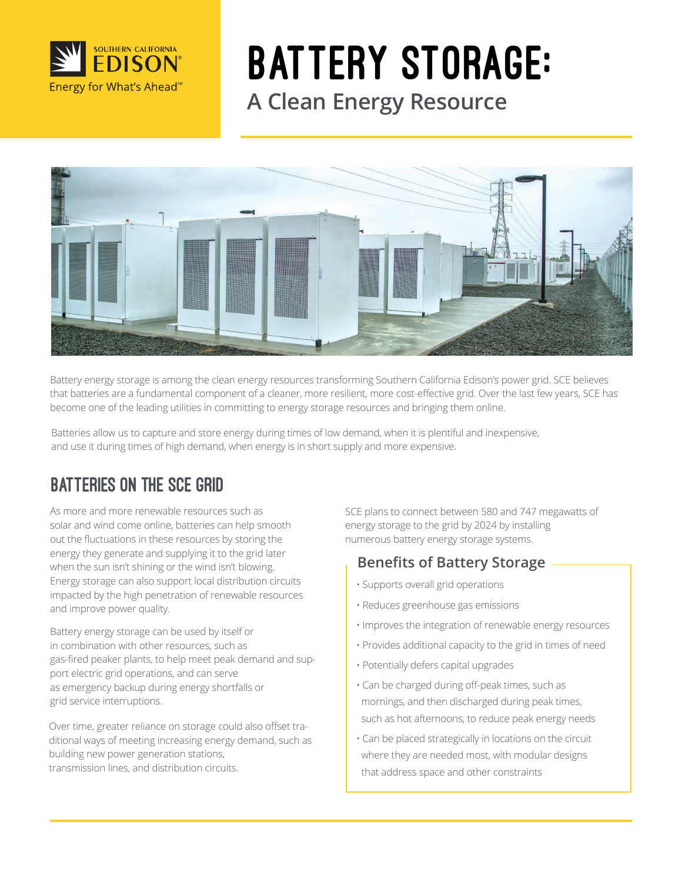

# Battery Storage: **A Clean Energy Resource**



Battery energy storage is among the clean energy resources transforming Southern California Edison's power grid. SCE believes that batteries are a fundamental component of a cleaner, more resilient, more cost-effective grid. Over the last few years, SCE has become one of the leading utilities in committing to energy storage resources and bringing them online.

Batteries allow us to capture and store energy during times of low demand, when it is plentiful and inexpensive, and use it during times of high demand, when energy is in short supply and more expensive.

# Batteries on the sce Grid

As more and more renewable resources such as solar and wind come online, batteries can help smooth out the fluctuations in these resources by storing the energy they generate and supplying it to the grid later when the sun isn't shining or the wind isn't blowing. Energy storage can also support local distribution circuits impacted by the high penetration of renewable resources and improve power quality.

Battery energy storage can be used by itself or in combination with other resources, such as gas-fired peaker plants, to help meet peak demand and support electric grid operations, and can serve as emergency backup during energy shortfalls or grid service interruptions.

Over time, greater reliance on storage could also offset traditional ways of meeting increasing energy demand, such as building new power generation stations, transmission lines, and distribution circuits.

SCE plans to connect between 580 and 747 megawatts of energy storage to the grid by 2024 by installing numerous battery energy storage systems.

### **Benefits of Battery Storage**

- Supports overall grid operations
- Reduces greenhouse gas emissions
- Improves the integration of renewable energy resources
- Provides additional capacity to the grid in times of need
- Potentially defers capital upgrades
- Can be charged during off-peak times, such as mornings, and then discharged during peak times, such as hot afternoons, to reduce peak energy needs
- Can be placed strategically in locations on the circuit where they are needed most, with modular designs that address space and other constraints